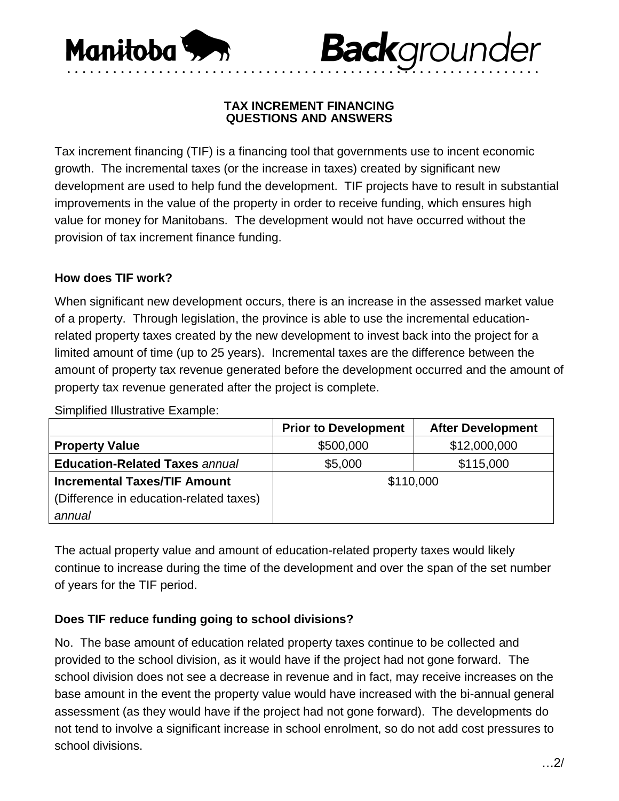

#### **TAX INCREMENT FINANCING QUESTIONS AND ANSWERS**

• • • • • • • • • • • • • • • • • • • • • • • • • • • • • • • • • • • • • • • • • • • • • • • • • • • • • • • • • • • • • •

**Back**grounder

Tax increment financing (TIF) is a financing tool that governments use to incent economic growth. The incremental taxes (or the increase in taxes) created by significant new development are used to help fund the development. TIF projects have to result in substantial improvements in the value of the property in order to receive funding, which ensures high value for money for Manitobans. The development would not have occurred without the provision of tax increment finance funding.

## **How does TIF work?**

When significant new development occurs, there is an increase in the assessed market value of a property. Through legislation, the province is able to use the incremental educationrelated property taxes created by the new development to invest back into the project for a limited amount of time (up to 25 years). Incremental taxes are the difference between the amount of property tax revenue generated before the development occurred and the amount of property tax revenue generated after the project is complete.

Simplified Illustrative Example:

|                                         | <b>Prior to Development</b> | <b>After Development</b> |
|-----------------------------------------|-----------------------------|--------------------------|
| <b>Property Value</b>                   | \$500,000                   | \$12,000,000             |
| <b>Education-Related Taxes annual</b>   | \$5,000                     | \$115,000                |
| <b>Incremental Taxes/TIF Amount</b>     | \$110,000                   |                          |
| (Difference in education-related taxes) |                             |                          |
| annual                                  |                             |                          |

The actual property value and amount of education-related property taxes would likely continue to increase during the time of the development and over the span of the set number of years for the TIF period.

## **Does TIF reduce funding going to school divisions?**

No. The base amount of education related property taxes continue to be collected and provided to the school division, as it would have if the project had not gone forward. The school division does not see a decrease in revenue and in fact, may receive increases on the base amount in the event the property value would have increased with the bi-annual general assessment (as they would have if the project had not gone forward). The developments do not tend to involve a significant increase in school enrolment, so do not add cost pressures to school divisions.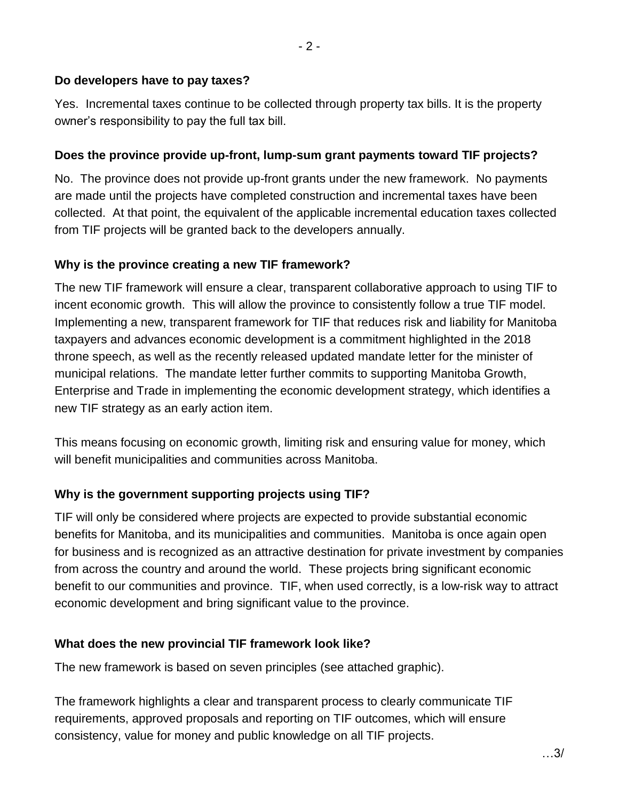### **Do developers have to pay taxes?**

Yes. Incremental taxes continue to be collected through property tax bills. It is the property owner's responsibility to pay the full tax bill.

### **Does the province provide up-front, lump-sum grant payments toward TIF projects?**

No. The province does not provide up-front grants under the new framework. No payments are made until the projects have completed construction and incremental taxes have been collected. At that point, the equivalent of the applicable incremental education taxes collected from TIF projects will be granted back to the developers annually.

#### **Why is the province creating a new TIF framework?**

The new TIF framework will ensure a clear, transparent collaborative approach to using TIF to incent economic growth. This will allow the province to consistently follow a true TIF model. Implementing a new, transparent framework for TIF that reduces risk and liability for Manitoba taxpayers and advances economic development is a commitment highlighted in the 2018 throne speech, as well as the recently released updated mandate letter for the minister of municipal relations. The mandate letter further commits to supporting Manitoba Growth, Enterprise and Trade in implementing the economic development strategy, which identifies a new TIF strategy as an early action item.

This means focusing on economic growth, limiting risk and ensuring value for money, which will benefit municipalities and communities across Manitoba.

## **Why is the government supporting projects using TIF?**

TIF will only be considered where projects are expected to provide substantial economic benefits for Manitoba, and its municipalities and communities. Manitoba is once again open for business and is recognized as an attractive destination for private investment by companies from across the country and around the world. These projects bring significant economic benefit to our communities and province. TIF, when used correctly, is a low-risk way to attract economic development and bring significant value to the province.

#### **What does the new provincial TIF framework look like?**

The new framework is based on seven principles (see attached graphic).

The framework highlights a clear and transparent process to clearly communicate TIF requirements, approved proposals and reporting on TIF outcomes, which will ensure consistency, value for money and public knowledge on all TIF projects.